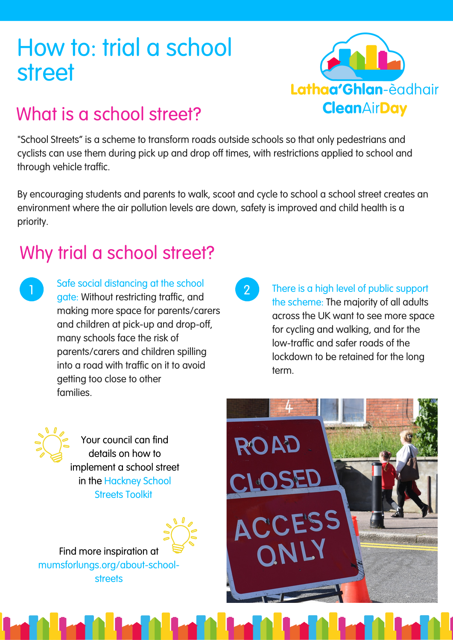# How to: trial a school street



## What is a school street?

"School Streets" is a scheme to transform roads outside schools so that only pedestrians and cyclists can use them during pick up and drop off times, with restrictions applied to school and through vehicle traffic.

By encouraging students and parents to walk, scoot and cycle to school a school street creates an environment where the air pollution levels are down, safety is improved and child health is a priority.

### Why trial a school street?

1

Safe social distancing at the school gate: Without restricting traffic, and making more space for parents/carers and children at pick-up and drop-off, many schools face the risk of parents/carers and children spilling into a road with traffic on it to avoid getting too close to other families.

2 There is a high level of public support the scheme: The majority of all adults across the UK want to see more space for cycling and walking, and for the low-traffic and safer roads of the lockdown to be retained for the long term.

Your council can find details on how to implement a school street in the [Hackney](https://drive.google.com/file/d/1UVVmMxxgFBlKSgE-h9sZn3s4sP7wKWmC/view) School Streets Toolki[t](https://drive.google.com/file/d/1UVVmMxxgFBlKSgE-h9sZn3s4sP7wKWmC/view)



Find more inspiration at [mumsforlungs.org/about-school](https://www.mumsforlungs.org/about-school-streets)streets

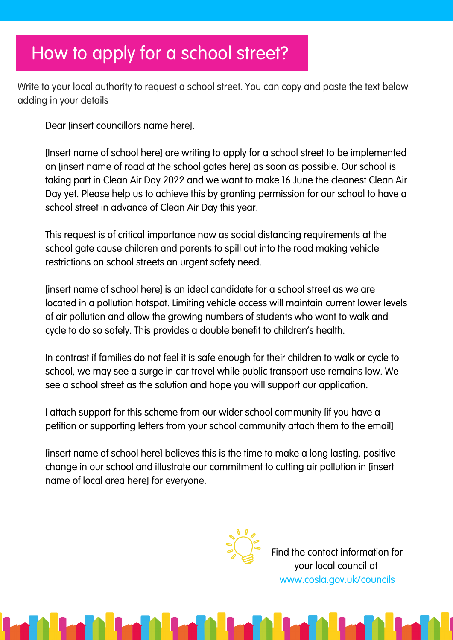### How to apply for a school street?

Write to your local authority to request a school street. You can copy and paste the text below adding in your details

Dear [insert councillors name here].

[Insert name of school here] are writing to apply for a school street to be implemented on [insert name of road at the school gates here] as soon as possible. Our school is taking part in Clean Air Day 2022 and we want to make 16 June the cleanest Clean Air Day yet. Please help us to achieve this by granting permission for our school to have a school street in advance of Clean Air Day this year.

This request is of critical importance now as social distancing requirements at the school gate cause children and parents to spill out into the road making vehicle restrictions on school streets an urgent safety need.

[insert name of school here] is an ideal candidate for a school street as we are located in a pollution hotspot. Limiting vehicle access will maintain current lower levels of air pollution and allow the growing numbers of students who want to walk and cycle to do so safely. This provides a double benefit to children's health.

In contrast if families do not feel it is safe enough for their children to walk or cycle to school, we may see a surge in car travel while public transport use remains low. We see a school street as the solution and hope you will support our application.

I attach support for this scheme from our wider school community [if you have a petition or supporting letters from your school community attach them to the email]

[insert name of school here] believes this is the time to make a long lasting, positive change in our school and illustrate our commitment to cutting air pollution in [insert name of local area here] for everyone.



Find the contact information for your local council at www.cosla.gov.uk/councils